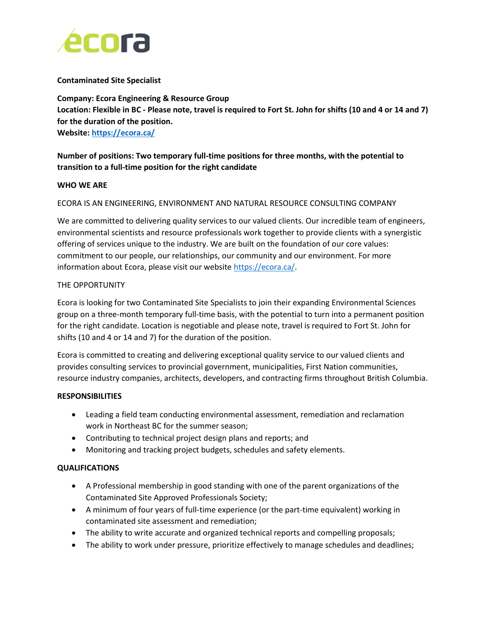

## **Contaminated Site Specialist**

**Company: Ecora Engineering & Resource Group Location: Flexible in BC - Please note, travel is required to Fort St. John for shifts (10 and 4 or 14 and 7) for the duration of the position. Website: <https://ecora.ca/>**

## **Number of positions: Two temporary full-time positions for three months, with the potential to transition to a full-time position for the right candidate**

## **WHO WE ARE**

## ECORA IS AN ENGINEERING, ENVIRONMENT AND NATURAL RESOURCE CONSULTING COMPANY

We are committed to delivering quality services to our valued clients. Our incredible team of engineers, environmental scientists and resource professionals work together to provide clients with a synergistic offering of services unique to the industry. We are built on the foundation of our core values: commitment to our people, our relationships, our community and our environment. For more information about Ecora, please visit our website [https://ecora.ca/.](https://ecora.ca/)

#### THE OPPORTUNITY

Ecora is looking for two Contaminated Site Specialists to join their expanding Environmental Sciences group on a three-month temporary full-time basis, with the potential to turn into a permanent position for the right candidate. Location is negotiable and please note, travel is required to Fort St. John for shifts (10 and 4 or 14 and 7) for the duration of the position.

Ecora is committed to creating and delivering exceptional quality service to our valued clients and provides consulting services to provincial government, municipalities, First Nation communities, resource industry companies, architects, developers, and contracting firms throughout British Columbia.

#### **RESPONSIBILITIES**

- Leading a field team conducting environmental assessment, remediation and reclamation work in Northeast BC for the summer season;
- Contributing to technical project design plans and reports; and
- Monitoring and tracking project budgets, schedules and safety elements.

## **QUALIFICATIONS**

- A Professional membership in good standing with one of the parent organizations of the Contaminated Site Approved Professionals Society;
- A minimum of four years of full-time experience (or the part-time equivalent) working in contaminated site assessment and remediation;
- The ability to write accurate and organized technical reports and compelling proposals;
- The ability to work under pressure, prioritize effectively to manage schedules and deadlines;